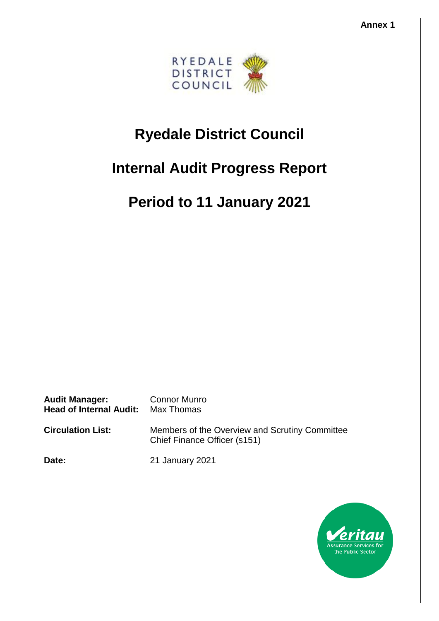

# **Ryedale District Council**

# **Internal Audit Progress Report**

**Period to 11 January 2021**

**Audit Manager:** Connor Munro **Head of Internal Audit:** Max Thomas

**Circulation List:** Members of the Overview and Scrutiny Committee

Chief Finance Officer (s151)

**Date:** 21 January 2021

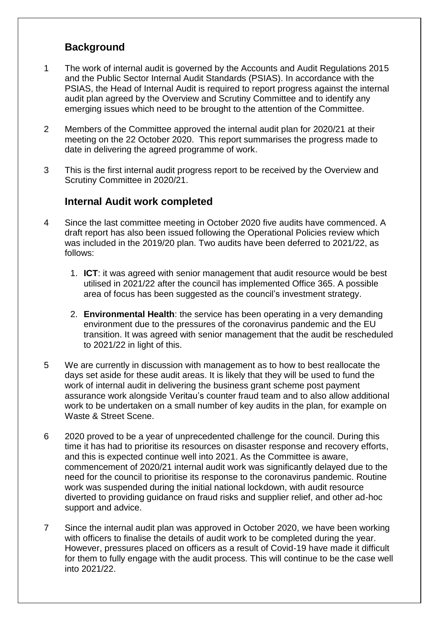### **Background**

- 1 The work of internal audit is governed by the Accounts and Audit Regulations 2015 and the Public Sector Internal Audit Standards (PSIAS). In accordance with the PSIAS, the Head of Internal Audit is required to report progress against the internal audit plan agreed by the Overview and Scrutiny Committee and to identify any emerging issues which need to be brought to the attention of the Committee.
- 2 Members of the Committee approved the internal audit plan for 2020/21 at their meeting on the 22 October 2020. This report summarises the progress made to date in delivering the agreed programme of work.
- 3 This is the first internal audit progress report to be received by the Overview and Scrutiny Committee in 2020/21.

### **Internal Audit work completed**

- 4 Since the last committee meeting in October 2020 five audits have commenced. A draft report has also been issued following the Operational Policies review which was included in the 2019/20 plan. Two audits have been deferred to 2021/22, as follows:
	- 1. **ICT**: it was agreed with senior management that audit resource would be best utilised in 2021/22 after the council has implemented Office 365. A possible area of focus has been suggested as the council's investment strategy.
	- 2. **Environmental Health**: the service has been operating in a very demanding environment due to the pressures of the coronavirus pandemic and the EU transition. It was agreed with senior management that the audit be rescheduled to 2021/22 in light of this.
- 5 We are currently in discussion with management as to how to best reallocate the days set aside for these audit areas. It is likely that they will be used to fund the work of internal audit in delivering the business grant scheme post payment assurance work alongside Veritau's counter fraud team and to also allow additional work to be undertaken on a small number of key audits in the plan, for example on Waste & Street Scene.
- 6 2020 proved to be a year of unprecedented challenge for the council. During this time it has had to prioritise its resources on disaster response and recovery efforts, and this is expected continue well into 2021. As the Committee is aware, commencement of 2020/21 internal audit work was significantly delayed due to the need for the council to prioritise its response to the coronavirus pandemic. Routine work was suspended during the initial national lockdown, with audit resource diverted to providing guidance on fraud risks and supplier relief, and other ad-hoc support and advice.
- 7 Since the internal audit plan was approved in October 2020, we have been working with officers to finalise the details of audit work to be completed during the year. However, pressures placed on officers as a result of Covid-19 have made it difficult for them to fully engage with the audit process. This will continue to be the case well into 2021/22.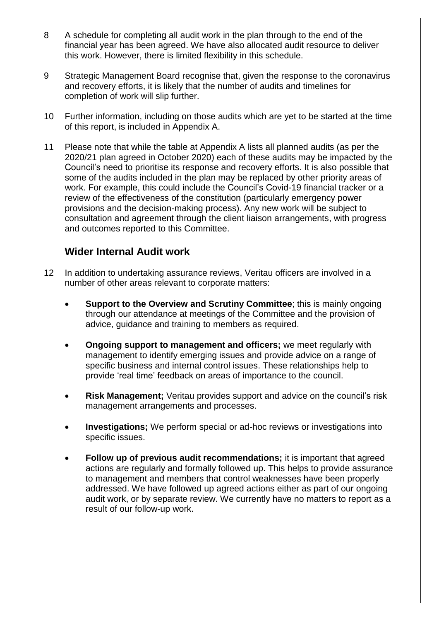- 8 A schedule for completing all audit work in the plan through to the end of the financial year has been agreed. We have also allocated audit resource to deliver this work. However, there is limited flexibility in this schedule.
- 9 Strategic Management Board recognise that, given the response to the coronavirus and recovery efforts, it is likely that the number of audits and timelines for completion of work will slip further.
- 10 Further information, including on those audits which are yet to be started at the time of this report, is included in Appendix A.
- 11 Please note that while the table at Appendix A lists all planned audits (as per the 2020/21 plan agreed in October 2020) each of these audits may be impacted by the Council's need to prioritise its response and recovery efforts. It is also possible that some of the audits included in the plan may be replaced by other priority areas of work. For example, this could include the Council's Covid-19 financial tracker or a review of the effectiveness of the constitution (particularly emergency power provisions and the decision-making process). Any new work will be subject to consultation and agreement through the client liaison arrangements, with progress and outcomes reported to this Committee.

#### **Wider Internal Audit work**

- 12 In addition to undertaking assurance reviews, Veritau officers are involved in a number of other areas relevant to corporate matters:
	- **Support to the Overview and Scrutiny Committee**; this is mainly ongoing through our attendance at meetings of the Committee and the provision of advice, guidance and training to members as required.
	- **Ongoing support to management and officers;** we meet regularly with management to identify emerging issues and provide advice on a range of specific business and internal control issues. These relationships help to provide 'real time' feedback on areas of importance to the council.
	- **Risk Management;** Veritau provides support and advice on the council's risk management arrangements and processes.
	- **Investigations;** We perform special or ad-hoc reviews or investigations into specific issues.
	- **Follow up of previous audit recommendations;** it is important that agreed actions are regularly and formally followed up. This helps to provide assurance to management and members that control weaknesses have been properly addressed. We have followed up agreed actions either as part of our ongoing audit work, or by separate review. We currently have no matters to report as a result of our follow-up work.